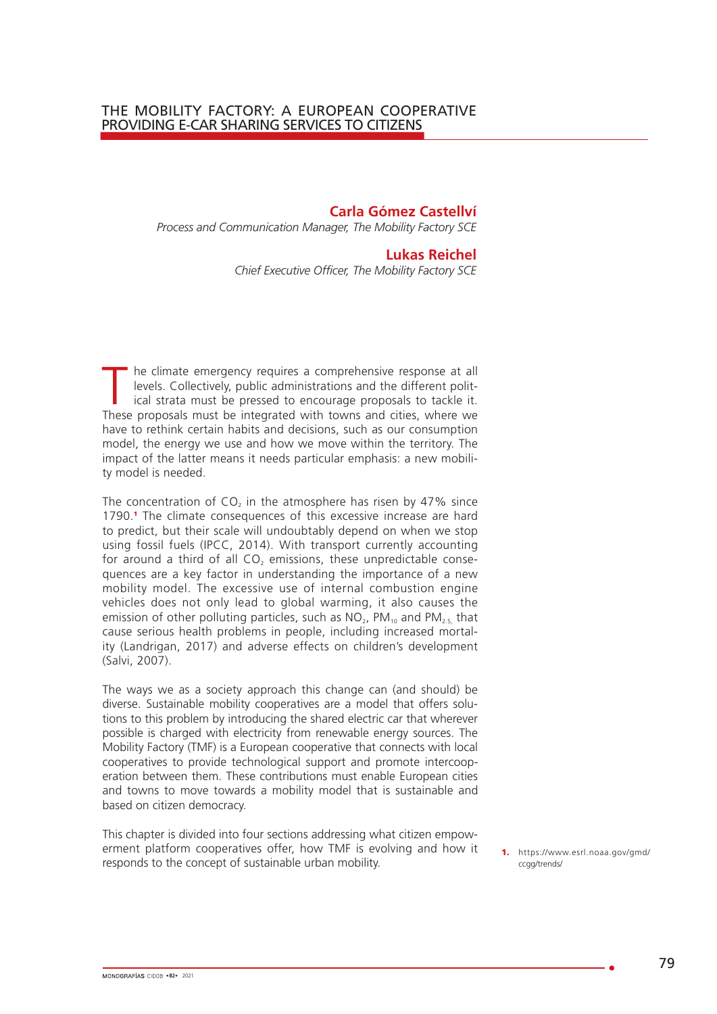**Carla Gómez Castellví** *Process and Communication Manager, The Mobility Factory SCE*

#### **Lukas Reichel**

*Chief Executive Officer, The Mobility Factory SCE*

The climate emergency requires a comprehensive response at all levels. Collectively, public administrations and the different political strata must be pressed to encourage proposals to tackle it. levels. Collectively, public administrations and the different polit-These proposals must be integrated with towns and cities, where we have to rethink certain habits and decisions, such as our consumption model, the energy we use and how we move within the territory. The impact of the latter means it needs particular emphasis: a new mobility model is needed.

The concentration of  $CO<sub>2</sub>$  in the atmosphere has risen by 47% since 1790.<sup>1</sup> The climate consequences of this excessive increase are hard to predict, but their scale will undoubtably depend on when we stop using fossil fuels (IPCC, 2014). With transport currently accounting for around a third of all  $CO<sub>2</sub>$  emissions, these unpredictable consequences are a key factor in understanding the importance of a new mobility model. The excessive use of internal combustion engine vehicles does not only lead to global warming, it also causes the emission of other polluting particles, such as  $NO<sub>2</sub>$ , PM<sub>10</sub> and PM<sub>2.5</sub> that cause serious health problems in people, including increased mortality (Landrigan, 2017) and adverse effects on children's development (Salvi, 2007).

The ways we as a society approach this change can (and should) be diverse. Sustainable mobility cooperatives are a model that offers solutions to this problem by introducing the shared electric car that wherever possible is charged with electricity from renewable energy sources. The Mobility Factory (TMF) is a European cooperative that connects with local cooperatives to provide technological support and promote intercooperation between them. These contributions must enable European cities and towns to move towards a mobility model that is sustainable and based on citizen democracy.

This chapter is divided into four sections addressing what citizen empowerment platform cooperatives offer, how TMF is evolving and how it responds to the concept of sustainable urban mobility.

1. https://www.esrl.noaa.gov/gmd/ ccag/trends/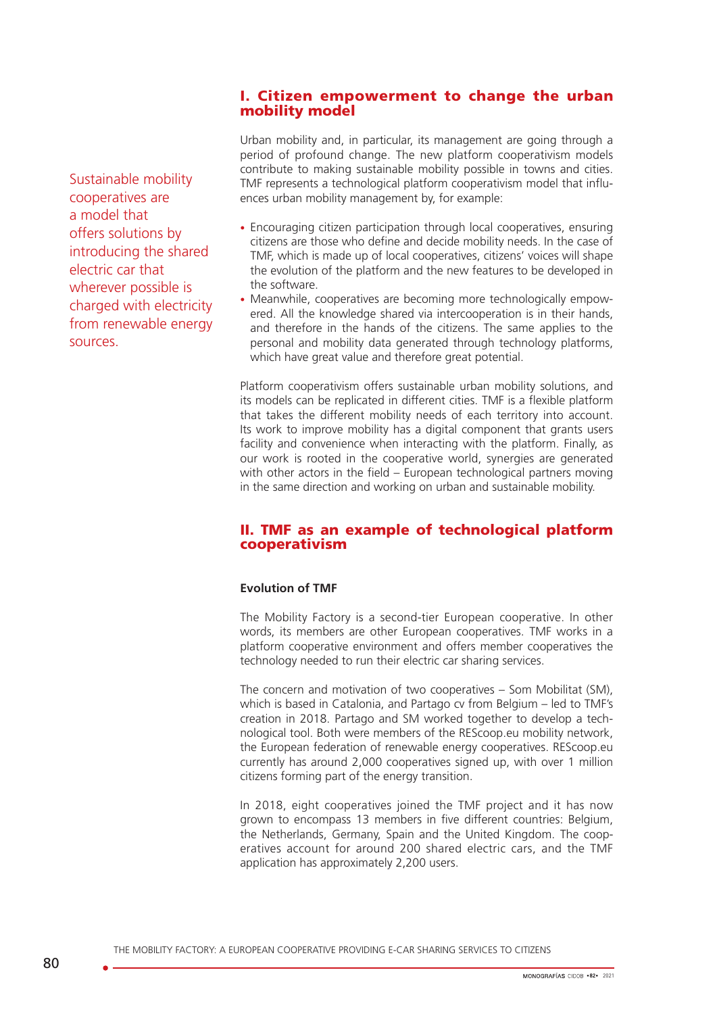### I. Citizen empowerment to change the urban mobility model

Sustainable mobility cooperatives are a model that offers solutions by introducing the shared electric car that wherever possible is charged with electricity from renewable energy sources.

Urban mobility and, in particular, its management are going through a period of profound change. The new platform cooperativism models contribute to making sustainable mobility possible in towns and cities. TMF represents a technological platform cooperativism model that influences urban mobility management by, for example:

- Encouraging citizen participation through local cooperatives, ensuring citizens are those who define and decide mobility needs. In the case of TMF, which is made up of local cooperatives, citizens' voices will shape the evolution of the platform and the new features to be developed in the software.
- Meanwhile, cooperatives are becoming more technologically empowered. All the knowledge shared via intercooperation is in their hands, and therefore in the hands of the citizens. The same applies to the personal and mobility data generated through technology platforms, which have great value and therefore great potential.

Platform cooperativism offers sustainable urban mobility solutions, and its models can be replicated in different cities. TMF is a flexible platform that takes the different mobility needs of each territory into account. Its work to improve mobility has a digital component that grants users facility and convenience when interacting with the platform. Finally, as our work is rooted in the cooperative world, synergies are generated with other actors in the field – European technological partners moving in the same direction and working on urban and sustainable mobility.

## II. TMF as an example of technological platform cooperativism

#### **Evolution of TMF**

The Mobility Factory is a second-tier European cooperative. In other words, its members are other European cooperatives. TMF works in a platform cooperative environment and offers member cooperatives the technology needed to run their electric car sharing services.

The concern and motivation of two cooperatives – Som Mobilitat (SM), which is based in Catalonia, and Partago cv from Belgium – led to TMF's creation in 2018. Partago and SM worked together to develop a technological tool. Both were members of the REScoop.eu mobility network, the European federation of renewable energy cooperatives. REScoop.eu currently has around 2,000 cooperatives signed up, with over 1 million citizens forming part of the energy transition.

In 2018, eight cooperatives joined the TMF project and it has now grown to encompass 13 members in five different countries: Belgium, the Netherlands, Germany, Spain and the United Kingdom. The cooperatives account for around 200 shared electric cars, and the TMF application has approximately 2,200 users.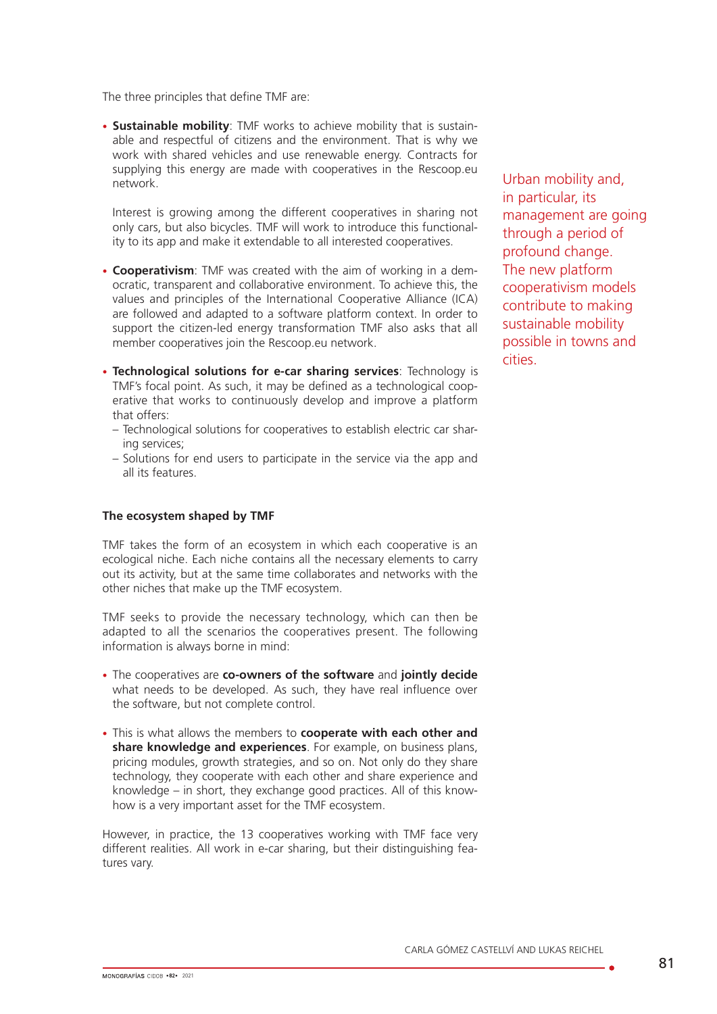The three principles that define TMF are:

• **Sustainable mobility**: TMF works to achieve mobility that is sustainable and respectful of citizens and the environment. That is why we work with shared vehicles and use renewable energy. Contracts for supplying this energy are made with cooperatives in the Rescoop.eu network.

Interest is growing among the different cooperatives in sharing not only cars, but also bicycles. TMF will work to introduce this functionality to its app and make it extendable to all interested cooperatives.

- **Cooperativism**: TMF was created with the aim of working in a democratic, transparent and collaborative environment. To achieve this, the values and principles of the International Cooperative Alliance (ICA) are followed and adapted to a software platform context. In order to support the citizen-led energy transformation TMF also asks that all member cooperatives join the Rescoop.eu network.
- **Technological solutions for e-car sharing services**: Technology is TMF's focal point. As such, it may be defined as a technological cooperative that works to continuously develop and improve a platform that offers:
	- Technological solutions for cooperatives to establish electric car sharing services;
	- Solutions for end users to participate in the service via the app and all its features.

#### **The ecosystem shaped by TMF**

TMF takes the form of an ecosystem in which each cooperative is an ecological niche. Each niche contains all the necessary elements to carry out its activity, but at the same time collaborates and networks with the other niches that make up the TMF ecosystem.

TMF seeks to provide the necessary technology, which can then be adapted to all the scenarios the cooperatives present. The following information is always borne in mind:

- The cooperatives are **co-owners of the software** and **jointly decide**  what needs to be developed. As such, they have real influence over the software, but not complete control.
- This is what allows the members to **cooperate with each other and share knowledge and experiences**. For example, on business plans, pricing modules, growth strategies, and so on. Not only do they share technology, they cooperate with each other and share experience and knowledge – in short, they exchange good practices. All of this knowhow is a very important asset for the TMF ecosystem.

However, in practice, the 13 cooperatives working with TMF face very different realities. All work in e-car sharing, but their distinguishing features vary.

Urban mobility and, in particular, its management are going through a period of profound change. The new platform cooperativism models contribute to making sustainable mobility possible in towns and cities.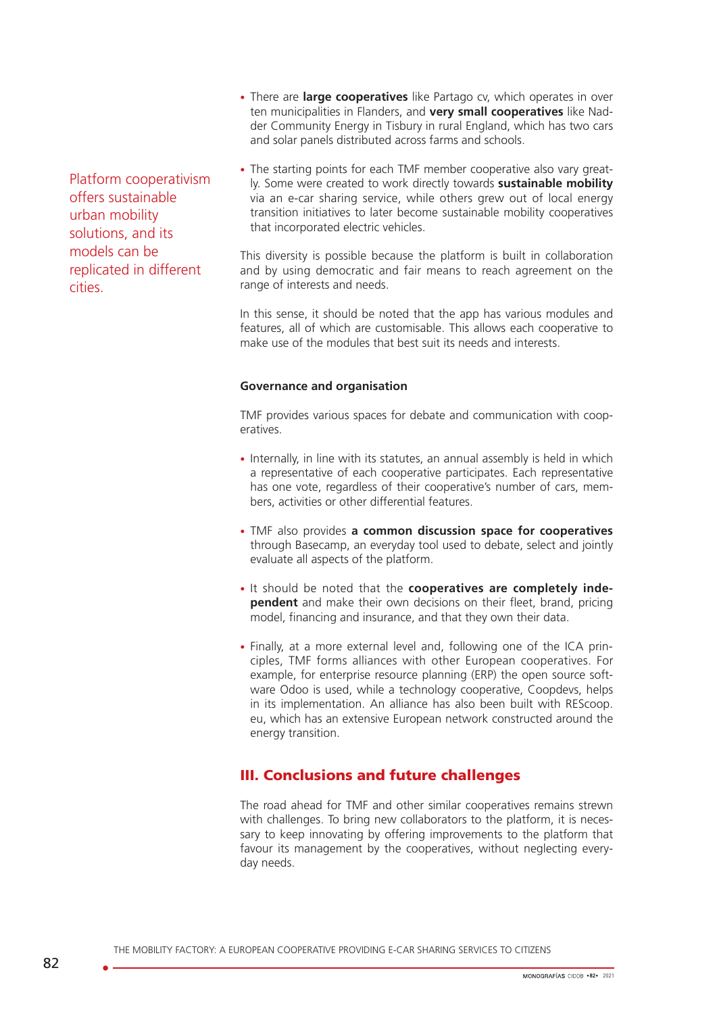- Platform cooperativism offers sustainable urban mobility solutions, and its models can be replicated in different cities.
- There are **large cooperatives** like Partago cv, which operates in over ten municipalities in Flanders, and **very small cooperatives** like Nadder Community Energy in Tisbury in rural England, which has two cars and solar panels distributed across farms and schools.
- The starting points for each TMF member cooperative also vary greatly. Some were created to work directly towards **sustainable mobility** via an e-car sharing service, while others grew out of local energy transition initiatives to later become sustainable mobility cooperatives that incorporated electric vehicles.

This diversity is possible because the platform is built in collaboration and by using democratic and fair means to reach agreement on the range of interests and needs.

In this sense, it should be noted that the app has various modules and features, all of which are customisable. This allows each cooperative to make use of the modules that best suit its needs and interests.

#### **Governance and organisation**

TMF provides various spaces for debate and communication with cooperatives.

- Internally, in line with its statutes, an annual assembly is held in which a representative of each cooperative participates. Each representative has one vote, regardless of their cooperative's number of cars, members, activities or other differential features.
- TMF also provides **a common discussion space for cooperatives**  through Basecamp, an everyday tool used to debate, select and jointly evaluate all aspects of the platform.
- It should be noted that the **cooperatives are completely independent** and make their own decisions on their fleet, brand, pricing model, financing and insurance, and that they own their data.
- Finally, at a more external level and, following one of the ICA principles, TMF forms alliances with other European cooperatives. For example, for enterprise resource planning (ERP) the open source software Odoo is used, while a technology cooperative, Coopdevs, helps in its implementation. An alliance has also been built with REScoop. eu, which has an extensive European network constructed around the energy transition.

# III. Conclusions and future challenges

The road ahead for TMF and other similar cooperatives remains strewn with challenges. To bring new collaborators to the platform, it is necessary to keep innovating by offering improvements to the platform that favour its management by the cooperatives, without neglecting everyday needs.